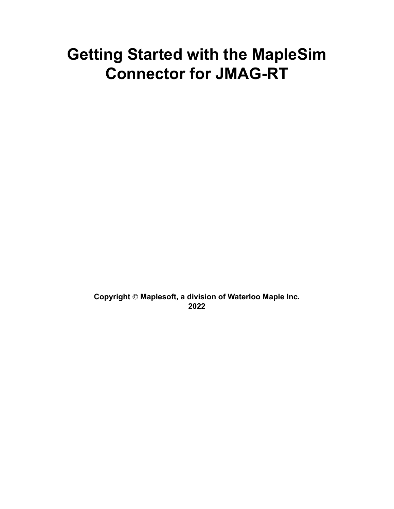# **Getting Started with the MapleSim Connector for JMAG-RT**

**Copyright © Maplesoft, a division of Waterloo Maple Inc. 2022**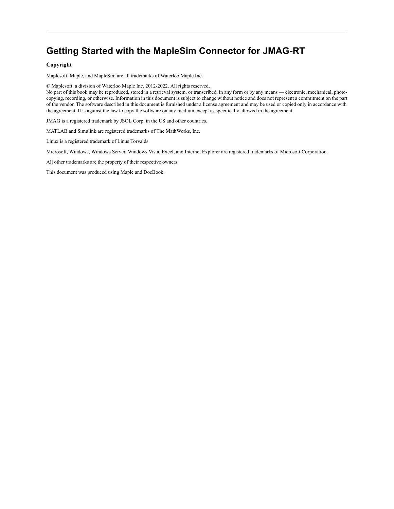## **Getting Started with the MapleSim Connector for JMAG-RT**

#### **Copyright**

Maplesoft, Maple, and MapleSim are all trademarks of Waterloo Maple Inc.

© Maplesoft, a division of Waterloo Maple Inc. 2012-2022. All rights reserved.

No part of this book may be reproduced, stored in a retrieval system, or transcribed, in any form or by any means — electronic, mechanical, photocopying, recording, or otherwise. Information in this document is subject to change without notice and does not represent a commitment on the part of the vendor. The software described in this document is furnished under a license agreement and may be used or copied only in accordance with the agreement. It is against the law to copy the software on any medium except as specifically allowed in the agreement.

JMAG is a registered trademark by JSOL Corp. in the US and other countries.

MATLAB and Simulink are registered trademarks of The MathWorks, Inc.

Linux is a registered trademark of Linus Torvalds.

Microsoft, Windows, Windows Server, Windows Vista, Excel, and Internet Explorer are registered trademarks of Microsoft Corporation.

All other trademarks are the property of their respective owners.

This document was produced using Maple and DocBook.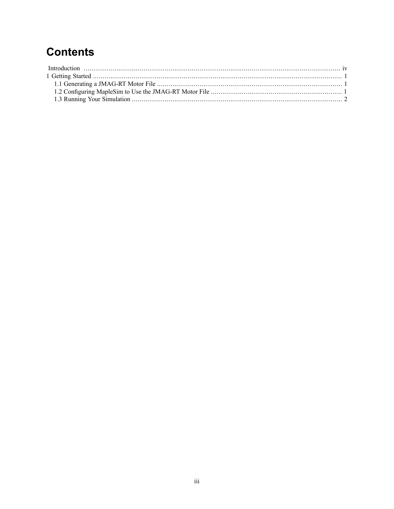## **Contents**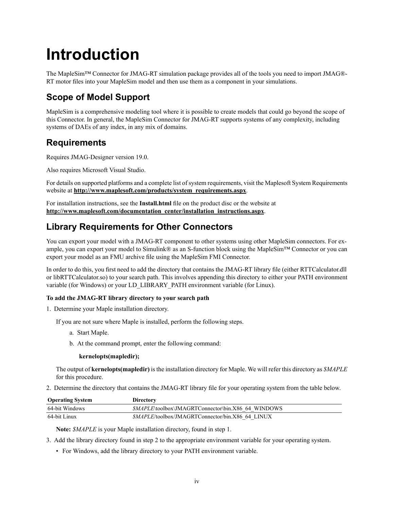# <span id="page-3-0"></span>**Introduction**

The MapleSim™ Connector for JMAG-RT simulation package provides all of the tools you need to import JMAG®- RT motor files into your MapleSim model and then use them as a component in your simulations.

## **Scope of Model Support**

MapleSim is a comprehensive modeling tool where it is possible to create models that could go beyond the scope of this Connector. In general, the MapleSim Connector for JMAG-RT supports systems of any complexity, including systems of DAEs of any index, in any mix of domains.

## **Requirements**

Requires JMAG-Designer version 19.0.

Also requires Microsoft Visual Studio.

For details on supported platforms and a complete list of system requirements, visit the Maplesoft System Requirements website at **[http://www.maplesoft.com/products/system\\_requirements.aspx](http://www.maplesoft.com/products/system_requirements.aspx)**.

<span id="page-3-1"></span>For installation instructions, see the **Install.html** file on the product disc or the website at **[http://www.maplesoft.com/documentation\\_center/installation\\_instructions.aspx](http://www.maplesoft.com/documentation_center/installation_instructions.aspx)**.

## **Library Requirements for Other Connectors**

You can export your model with a JMAG-RT component to other systems using other MapleSim connectors. For example, you can export your model to Simulink® as an S-function block using the MapleSim™ Connector or you can export your model as an FMU archive file using the MapleSim FMI Connector.

In order to do this, you first need to add the directory that contains the JMAG-RT library file (either RTTCalculator.dll or libRTTCalculator.so) to your search path. This involves appending this directory to either your PATH environment variable (for Windows) or your LD\_LIBRARY\_PATH environment variable (for Linux).

#### **To add the JMAG-RT library directory to your search path**

1. Determine your Maple installation directory.

If you are not sure where Maple is installed, perform the following steps.

- a. Start Maple.
- b. At the command prompt, enter the following command:

#### **kernelopts(mapledir);**

The output of**kernelopts(mapledir)** isthe installation directory for Maple. We will refer this directory as *\$MAPLE* for this procedure.

2. Determine the directory that contains the JMAG-RT library file for your operating system from the table below.

| <b>Operating System</b> | <b>Directory</b>                                          |
|-------------------------|-----------------------------------------------------------|
| 64-bit Windows          | <i>SMAPLE</i> \toolbox\JMAGRTConnector\bin.X86 64 WINDOWS |
| 64-bit Linux            | <i>SMAPLE</i> /toolbox/JMAGRTConnector/bin.X86 64 LINUX   |

**Note:** *\$MAPLE* is your Maple installation directory, found in step 1.

- 3. Add the library directory found in step 2 to the appropriate environment variable for your operating system.
	- For Windows, add the library directory to your PATH environment variable.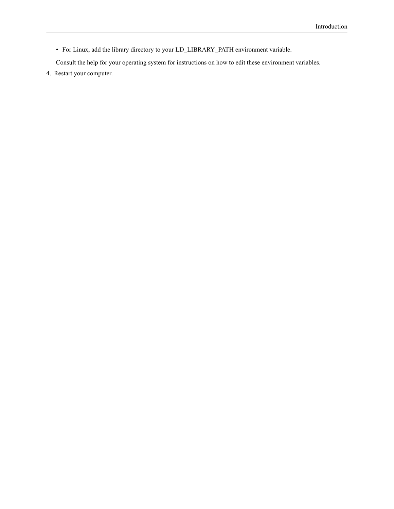• For Linux, add the library directory to your LD\_LIBRARY\_PATH environment variable.

Consult the help for your operating system for instructions on how to edit these environment variables.

4. Restart your computer.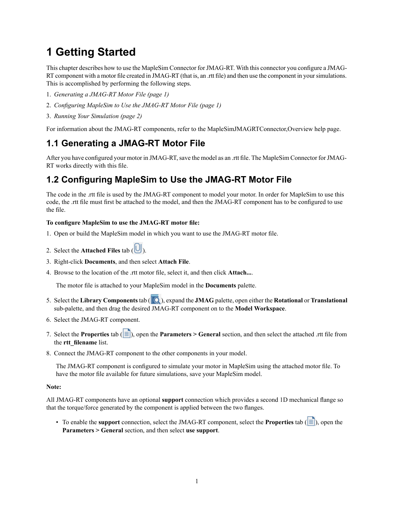## <span id="page-5-0"></span>**1 Getting Started**

This chapter describes how to use the MapleSim Connector for JMAG-RT. With this connector you configure a JMAG-RT component with a motor file created in JMAG-RT (that is, an .rtt file) and then use the component in your simulations. This is accomplished by performing the following steps.

- 1. *[Generating](#page-5-1) a JMAG-RT Motor File [\(page](#page-5-1) 1)*
- 2. *[Configuring](#page-5-2) MapleSim to Use the JMAG-RT Motor File [\(page](#page-5-2) 1)*
- 3. *Running Your [Simulation](#page-6-0) [\(page](#page-6-0) 2)*

<span id="page-5-1"></span>For information about the JMAG-RT components, refer to the MapleSimJMAGRTConnector,Overview help page.

### **1.1 Generating a JMAG-RT Motor File**

<span id="page-5-2"></span>After you have configured your motor in JMAG-RT, save the model as an .rtt file. The MapleSim Connector for JMAG-RT works directly with this file.

### **1.2 Configuring MapleSim to Use the JMAG-RT Motor File**

The code in the .rtt file is used by the JMAG-RT component to model your motor. In order for MapleSim to use this code, the .rtt file must first be attached to the model, and then the JMAG-RT component has to be configured to use the file.

#### **To configure MapleSim to use the JMAG-RT motor file:**

- 1. Open or build the MapleSim model in which you want to use the JMAG-RT motor file.
- 2. Select the **Attached Files** tab ( ).
- 3. Right-click **Documents**, and then select **Attach File**.
- 4. Browse to the location of the .rtt motor file, select it, and then click **Attach...**.

The motor file is attached to your MapleSim model in the **Documents** palette.

- 5. Select the **Library Components** tab ( ), expand the **JMAG** palette, open either the **Rotational** or **Translational** sub-palette, and then drag the desired JMAG-RT component on to the **Model Workspace**.
- 6. Select the JMAG-RT component.
- 7. Select the **Properties** tab  $\left(\left|\mathbf{E}\right|\right)$ , open the **Parameters** > **General** section, and then select the attached .rtt file from the **rtt\_filename** list.
- 8. Connect the JMAG-RT component to the other components in your model.

The JMAG-RT component is configured to simulate your motor in MapleSim using the attached motor file. To have the motor file available for future simulations, save your MapleSim model.

#### **Note:**

All JMAG-RT components have an optional **support** connection which provides a second 1D mechanical flange so that the torque/force generated by the component is applied between the two flanges.

• To enable the **support** connection, select the JMAG-RT component, select the **Properties** tab  $(|\equiv|)$ , open the **Parameters > General** section, and then select **use support**.